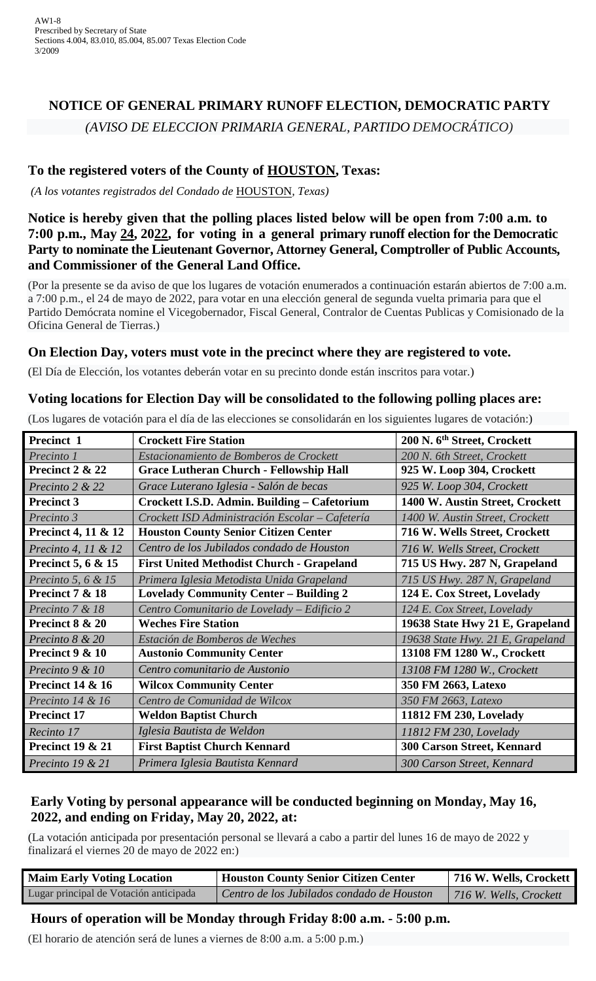# **NOTICE OF GENERAL PRIMARY RUNOFF ELECTION, DEMOCRATIC PARTY** *(AVISO DE ELECCION PRIMARIA GENERAL, PARTIDO DEMOCRÁTICO)*

# **To the registered voters of the County of HOUSTON, Texas:**

*(A los votantes registrados del Condado de* HOUSTON*, Texas)*

#### **Notice is hereby given that the polling places listed below will be open from 7:00 a.m. to 7:00 p.m., May 24, 2022, for voting in a general primary runoff election for the Democratic Party to nominate the Lieutenant Governor, Attorney General, Comptroller of Public Accounts, and Commissioner of the General Land Office.**

(Por la presente se da aviso de que los lugares de votación enumerados a continuación estarán abiertos de 7:00 a.m. a 7:00 p.m., el 24 de mayo de 2022, para votar en una elección general de segunda vuelta primaria para que el Partido Demócrata nomine el Vicegobernador, Fiscal General, Contralor de Cuentas Publicas y Comisionado de la Oficina General de Tierras.)

#### **On Election Day, voters must vote in the precinct where they are registered to vote.**

(El Día de Elección, los votantes deberán votar en su precinto donde están inscritos para votar.)

#### **Voting locations for Election Day will be consolidated to the following polling places are:**

(Los lugares de votación para el día de las elecciones se consolidarán en los siguientes lugares de votación:)

| Precinct 1                     | <b>Crockett Fire Station</b>                     | 200 N. 6 <sup>th</sup> Street, Crockett |
|--------------------------------|--------------------------------------------------|-----------------------------------------|
| Precinto 1                     | Estacionamiento de Bomberos de Crockett          | 200 N. 6th Street, Crockett             |
| Precinct 2 & 22                | <b>Grace Lutheran Church - Fellowship Hall</b>   | 925 W. Loop 304, Crockett               |
| Precinto 2 & 22                | Grace Luterano Iglesia - Salón de becas          | 925 W. Loop 304, Crockett               |
| <b>Precinct 3</b>              | Crockett I.S.D. Admin. Building - Cafetorium     | 1400 W. Austin Street, Crockett         |
| Precinto 3                     | Crockett ISD Administración Escolar - Cafetería  | 1400 W. Austin Street, Crockett         |
| <b>Precinct 4, 11 &amp; 12</b> | <b>Houston County Senior Citizen Center</b>      | 716 W. Wells Street, Crockett           |
| <i>Precinto 4, 11 &amp; 12</i> | Centro de los Jubilados condado de Houston       | 716 W. Wells Street, Crockett           |
| <b>Precinct 5, 6 &amp; 15</b>  | <b>First United Methodist Church - Grapeland</b> | 715 US Hwy. 287 N, Grapeland            |
| Precinto 5, 6 & 15             | Primera Iglesia Metodista Unida Grapeland        | 715 US Hwy. 287 N, Grapeland            |
| Precinct 7 & 18                | <b>Lovelady Community Center - Building 2</b>    | 124 E. Cox Street, Lovelady             |
| Precinto 7 & 18                | Centro Comunitario de Lovelady - Edificio 2      | 124 E. Cox Street, Lovelady             |
| Precinct 8 & 20                | <b>Weches Fire Station</b>                       | 19638 State Hwy 21 E, Grapeland         |
| Precinto 8 & 20                | Estación de Bomberos de Weches                   | 19638 State Hwy. 21 E, Grapeland        |
| Precinct 9 & 10                | <b>Austonio Community Center</b>                 | 13108 FM 1280 W., Crockett              |
| Precinto 9 & 10                | Centro comunitario de Austonio                   | 13108 FM 1280 W., Crockett              |
| <b>Precinct 14 &amp; 16</b>    | <b>Wilcox Community Center</b>                   | 350 FM 2663, Latexo                     |
| Precinto 14 & 16               | Centro de Comunidad de Wilcox                    | 350 FM 2663, Latexo                     |
| <b>Precinct 17</b>             | <b>Weldon Baptist Church</b>                     | 11812 FM 230, Lovelady                  |
| Recinto 17                     | Iglesia Bautista de Weldon                       | 11812 FM 230, Lovelady                  |
| <b>Precinct 19 &amp; 21</b>    | <b>First Baptist Church Kennard</b>              | <b>300 Carson Street, Kennard</b>       |
| Precinto $19 & 21$             | Primera Iglesia Bautista Kennard                 | 300 Carson Street, Kennard              |

### **Early Voting by personal appearance will be conducted beginning on Monday, May 16, 2022, and ending on Friday, May 20, 2022, at:**

(La votación anticipada por presentación personal se llevará a cabo a partir del lunes 16 de mayo de 2022 y finalizará el viernes 20 de mayo de 2022 en:)

| <b>Maim Early Voting Location</b>      | <b>Houston County Senior Citizen Center</b> | 716 W. Wells, Crockett |
|----------------------------------------|---------------------------------------------|------------------------|
| Lugar principal de Votación anticipada | Centro de los Jubilados condado de Houston  | 716 W. Wells, Crockett |

#### **Hours of operation will be Monday through Friday 8:00 a.m. - 5:00 p.m.**

(El horario de atención será de lunes a viernes de 8:00 a.m. a 5:00 p.m.)